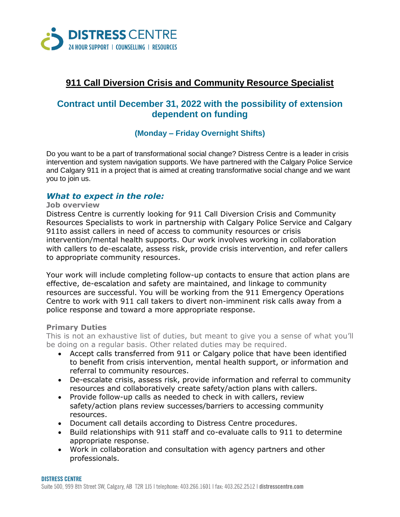

# **911 Call Diversion Crisis and Community Resource Specialist**

## **Contract until December 31, 2022 with the possibility of extension dependent on funding**

### **(Monday – Friday Overnight Shifts)**

Do you want to be a part of transformational social change? Distress Centre is a leader in crisis intervention and system navigation supports. We have partnered with the Calgary Police Service and Calgary 911 in a project that is aimed at creating transformative social change and we want you to join us.

### *What to expect in the role:*

#### **Job overview**

Distress Centre is currently looking for 911 Call Diversion Crisis and Community Resources Specialists to work in partnership with Calgary Police Service and Calgary 911to assist callers in need of access to community resources or crisis intervention/mental health supports. Our work involves working in collaboration with callers to de-escalate, assess risk, provide crisis intervention, and refer callers to appropriate community resources.

Your work will include completing follow-up contacts to ensure that action plans are effective, de-escalation and safety are maintained, and linkage to community resources are successful. You will be working from the 911 Emergency Operations Centre to work with 911 call takers to divert non-imminent risk calls away from a police response and toward a more appropriate response.

### **Primary Duties**

This is not an exhaustive list of duties, but meant to give you a sense of what you'll be doing on a regular basis. Other related duties may be required.

- Accept calls transferred from 911 or Calgary police that have been identified to benefit from crisis intervention, mental health support, or information and referral to community resources.
- De-escalate crisis, assess risk, provide information and referral to community resources and collaboratively create safety/action plans with callers.
- Provide follow-up calls as needed to check in with callers, review safety/action plans review successes/barriers to accessing community resources.
- Document call details according to Distress Centre procedures.
- Build relationships with 911 staff and co-evaluate calls to 911 to determine appropriate response.
- Work in collaboration and consultation with agency partners and other professionals.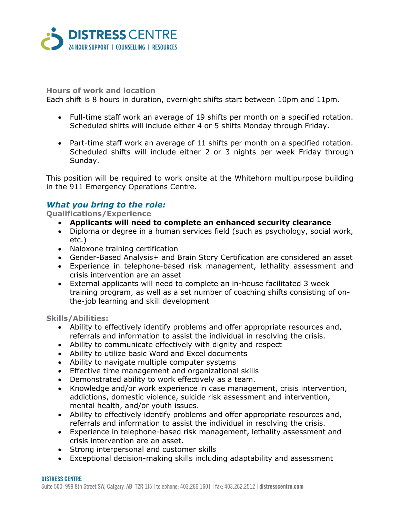

### **Hours of work and location**

Each shift is 8 hours in duration, overnight shifts start between 10pm and 11pm.

- Full-time staff work an average of 19 shifts per month on a specified rotation. Scheduled shifts will include either 4 or 5 shifts Monday through Friday.
- Part-time staff work an average of 11 shifts per month on a specified rotation. Scheduled shifts will include either 2 or 3 nights per week Friday through Sunday.

This position will be required to work onsite at the Whitehorn multipurpose building in the 911 Emergency Operations Centre.

### *What you bring to the role:*

**Qualifications/Experience**

- **Applicants will need to complete an enhanced security clearance**
- Diploma or degree in a human services field (such as psychology, social work, etc.)
- Naloxone training certification
- Gender-Based Analysis+ and Brain Story Certification are considered an asset
- Experience in telephone-based risk management, lethality assessment and crisis intervention are an asset
- External applicants will need to complete an in-house facilitated 3 week training program, as well as a set number of coaching shifts consisting of onthe-job learning and skill development

**Skills/Abilities:**

- Ability to effectively identify problems and offer appropriate resources and, referrals and information to assist the individual in resolving the crisis.
- Ability to communicate effectively with dignity and respect
- Ability to utilize basic Word and Excel documents
- Ability to navigate multiple computer systems
- Effective time management and organizational skills
- Demonstrated ability to work effectively as a team.
- Knowledge and/or work experience in case management, crisis intervention, addictions, domestic violence, suicide risk assessment and intervention, mental health, and/or youth issues.
- Ability to effectively identify problems and offer appropriate resources and, referrals and information to assist the individual in resolving the crisis.
- Experience in telephone-based risk management, lethality assessment and crisis intervention are an asset.
- Strong interpersonal and customer skills
- Exceptional decision-making skills including adaptability and assessment

#### **DISTRESS CENTRE**

Suite 500, 999 8th Street SW, Calgary, AB T2R 1J5 | telephone: 403.266.1601 | fax: 403.262.2512 | distresscentre.com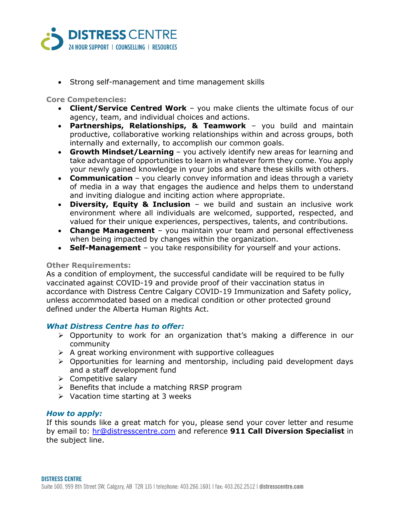

• Strong self-management and time management skills

### **Core Competencies:**

- **Client/Service Centred Work** you make clients the ultimate focus of our agency, team, and individual choices and actions.
- **Partnerships, Relationships, & Teamwork** you build and maintain productive, collaborative working relationships within and across groups, both internally and externally, to accomplish our common goals.
- **Growth Mindset/Learning** you actively identify new areas for learning and take advantage of opportunities to learn in whatever form they come. You apply your newly gained knowledge in your jobs and share these skills with others.
- **Communication** you clearly convey information and ideas through a variety of media in a way that engages the audience and helps them to understand and inviting dialogue and inciting action where appropriate.
- **Diversity, Equity & Inclusion** we build and sustain an inclusive work environment where all individuals are welcomed, supported, respected, and valued for their unique experiences, perspectives, talents, and contributions.
- **Change Management** you maintain your team and personal effectiveness when being impacted by changes within the organization.
- **Self-Management** you take responsibility for yourself and your actions.

### **Other Requirements:**

As a condition of employment, the successful candidate will be required to be fully vaccinated against COVID-19 and provide proof of their vaccination status in accordance with Distress Centre Calgary COVID-19 Immunization and Safety policy, unless accommodated based on a medical condition or other protected ground defined under the Alberta Human Rights Act.

### *What Distress Centre has to offer:*

- $\triangleright$  Opportunity to work for an organization that's making a difference in our community
- $\triangleright$  A great working environment with supportive colleagues
- $\triangleright$  Opportunities for learning and mentorship, including paid development days and a staff development fund
- $\triangleright$  Competitive salary
- $\triangleright$  Benefits that include a matching RRSP program
- $\triangleright$  Vacation time starting at 3 weeks

### *How to apply:*

If this sounds like a great match for you, please send your cover letter and resume by email to: [hr@distresscentre.com](mailto:hr@distresscentre.com) and reference **911 Call Diversion Specialist** in the subject line.